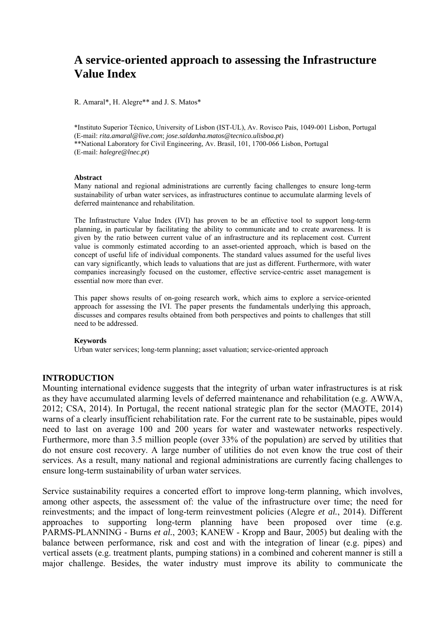# **A service-oriented approach to assessing the Infrastructure Value Index**

R. Amaral\*, H. Alegre\*\* and J. S. Matos\*

\*Instituto Superior Técnico, University of Lisbon (IST-UL), Av. Rovisco Pais, 1049-001 Lisbon, Portugal (E-mail: *rita.amaral@live.com*; *jose.saldanha.matos@tecnico.ulisboa.pt*) \*\*National Laboratory for Civil Engineering, Av. Brasil, 101, 1700-066 Lisbon, Portugal (E-mail: *halegre@lnec.pt*)

#### **Abstract**

Many national and regional administrations are currently facing challenges to ensure long-term sustainability of urban water services, as infrastructures continue to accumulate alarming levels of deferred maintenance and rehabilitation.

The Infrastructure Value Index (IVI) has proven to be an effective tool to support long-term planning, in particular by facilitating the ability to communicate and to create awareness. It is given by the ratio between current value of an infrastructure and its replacement cost. Current value is commonly estimated according to an asset-oriented approach, which is based on the concept of useful life of individual components. The standard values assumed for the useful lives can vary significantly, which leads to valuations that are just as different. Furthermore, with water companies increasingly focused on the customer, effective service-centric asset management is essential now more than ever.

This paper shows results of on-going research work, which aims to explore a service-oriented approach for assessing the IVI. The paper presents the fundamentals underlying this approach, discusses and compares results obtained from both perspectives and points to challenges that still need to be addressed.

#### **Keywords**

Urban water services; long-term planning; asset valuation; service-oriented approach

### **INTRODUCTION**

Mounting international evidence suggests that the integrity of urban water infrastructures is at risk as they have accumulated alarming levels of deferred maintenance and rehabilitation (e.g. AWWA, 2012; CSA, 2014). In Portugal, the recent national strategic plan for the sector (MAOTE, 2014) warns of a clearly insufficient rehabilitation rate. For the current rate to be sustainable, pipes would need to last on average 100 and 200 years for water and wastewater networks respectively. Furthermore, more than 3.5 million people (over 33% of the population) are served by utilities that do not ensure cost recovery. A large number of utilities do not even know the true cost of their services. As a result, many national and regional administrations are currently facing challenges to ensure long-term sustainability of urban water services.

Service sustainability requires a concerted effort to improve long-term planning, which involves, among other aspects, the assessment of: the value of the infrastructure over time; the need for reinvestments; and the impact of long-term reinvestment policies (Alegre *et al.*, 2014). Different approaches to supporting long-term planning have been proposed over time (e.g. PARMS-PLANNING - Burns *et al.*, 2003; KANEW - Kropp and Baur, 2005) but dealing with the balance between performance, risk and cost and with the integration of linear (e.g. pipes) and vertical assets (e.g. treatment plants, pumping stations) in a combined and coherent manner is still a major challenge. Besides, the water industry must improve its ability to communicate the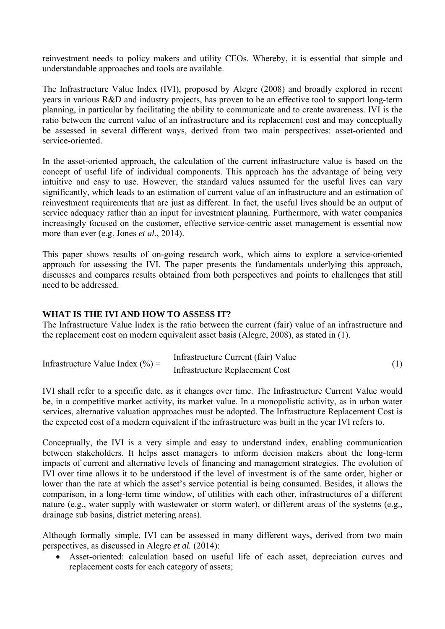reinvestment needs to policy makers and utility CEOs. Whereby, it is essential that simple and understandable approaches and tools are available.

The Infrastructure Value Index (IVI), proposed by Alegre (2008) and broadly explored in recent years in various R&D and industry projects, has proven to be an effective tool to support long-term planning, in particular by facilitating the ability to communicate and to create awareness. IVI is the ratio between the current value of an infrastructure and its replacement cost and may conceptually be assessed in several different ways, derived from two main perspectives: asset-oriented and service-oriented.

In the asset-oriented approach, the calculation of the current infrastructure value is based on the concept of useful life of individual components. This approach has the advantage of being very intuitive and easy to use. However, the standard values assumed for the useful lives can vary significantly, which leads to an estimation of current value of an infrastructure and an estimation of reinvestment requirements that are just as different. In fact, the useful lives should be an output of service adequacy rather than an input for investment planning. Furthermore, with water companies increasingly focused on the customer, effective service-centric asset management is essential now more than ever (e.g. Jones *et al.*, 2014).

This paper shows results of on-going research work, which aims to explore a service-oriented approach for assessing the IVI. The paper presents the fundamentals underlying this approach, discusses and compares results obtained from both perspectives and points to challenges that still need to be addressed.

# **WHAT IS THE IVI AND HOW TO ASSESS IT?**

The Infrastructure Value Index is the ratio between the current (fair) value of an infrastructure and the replacement cost on modern equivalent asset basis (Alegre, 2008), as stated in (1).

Infrastructure Value Index (
$$
\%
$$
) =  $\frac{\text{Infrastructure Current (fair) Value}}{\text{Infrastructure Replacement Cost}}$  (1)

IVI shall refer to a specific date, as it changes over time. The Infrastructure Current Value would be, in a competitive market activity, its market value. In a monopolistic activity, as in urban water services, alternative valuation approaches must be adopted. The Infrastructure Replacement Cost is the expected cost of a modern equivalent if the infrastructure was built in the year IVI refers to.

Conceptually, the IVI is a very simple and easy to understand index, enabling communication between stakeholders. It helps asset managers to inform decision makers about the long-term impacts of current and alternative levels of financing and management strategies. The evolution of IVI over time allows it to be understood if the level of investment is of the same order, higher or lower than the rate at which the asset's service potential is being consumed. Besides, it allows the comparison, in a long-term time window, of utilities with each other, infrastructures of a different nature (e.g., water supply with wastewater or storm water), or different areas of the systems (e.g., drainage sub basins, district metering areas).

Although formally simple, IVI can be assessed in many different ways, derived from two main perspectives, as discussed in Alegre *et al.* (2014):

 Asset-oriented: calculation based on useful life of each asset, depreciation curves and replacement costs for each category of assets;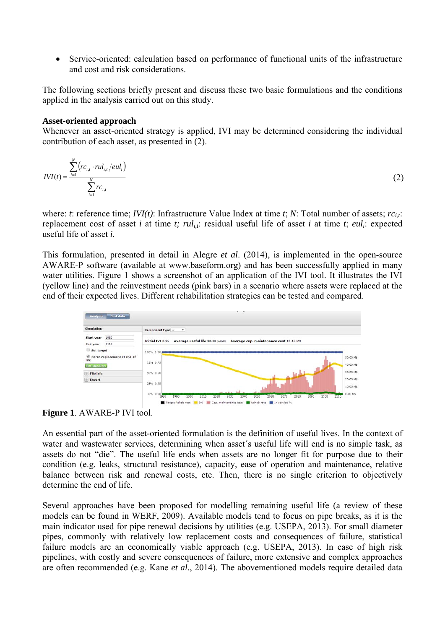Service-oriented: calculation based on performance of functional units of the infrastructure and cost and risk considerations.

The following sections briefly present and discuss these two basic formulations and the conditions applied in the analysis carried out on this study.

### **Asset-oriented approach**

Whenever an asset-oriented strategy is applied, IVI may be determined considering the individual contribution of each asset, as presented in (2).

$$
IVI(t) = \frac{\sum_{i=1}^{N} (rc_{i,t} \cdot rul_{i,t}/eul_i)}{\sum_{i=1}^{N} rc_{i,t}}
$$
 (2)

where: *t*: reference time; *IVI(t)*: Infrastructure Value Index at time *t*; *N*: Total number of assets; *rc<sub>it</sub>*: replacement cost of asset *i* at time *t*;  $rul_{it}$ : residual useful life of asset *i* at time *t*;  $eul_i$ : expected useful life of asset *i.* 

This formulation, presented in detail in Alegre *et al*. (2014), is implemented in the open-source AWARE-P software (available at www.baseform.org) and has been successfully applied in many water utilities. Figure 1 shows a screenshot of an application of the IVI tool. It illustrates the IVI (yellow line) and the reinvestment needs (pink bars) in a scenario where assets were replaced at the end of their expected lives. Different rehabilitation strategies can be tested and compared.



**Figure 1**. AWARE-P IVI tool.

An essential part of the asset-oriented formulation is the definition of useful lives. In the context of water and wastewater services, determining when asset´s useful life will end is no simple task, as assets do not "die". The useful life ends when assets are no longer fit for purpose due to their condition (e.g. leaks, structural resistance), capacity, ease of operation and maintenance, relative balance between risk and renewal costs, etc. Then, there is no single criterion to objectively determine the end of life.

Several approaches have been proposed for modelling remaining useful life (a review of these models can be found in WERF, 2009). Available models tend to focus on pipe breaks, as it is the main indicator used for pipe renewal decisions by utilities (e.g. USEPA, 2013). For small diameter pipes, commonly with relatively low replacement costs and consequences of failure, statistical failure models are an economically viable approach (e.g. USEPA, 2013). In case of high risk pipelines, with costly and severe consequences of failure, more extensive and complex approaches are often recommended (e.g. Kane *et al.*, 2014). The abovementioned models require detailed data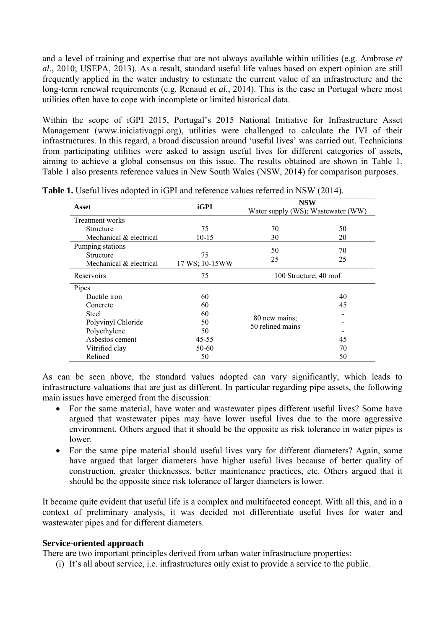and a level of training and expertise that are not always available within utilities (e.g. Ambrose *et al*., 2010; USEPA, 2013). As a result, standard useful life values based on expert opinion are still frequently applied in the water industry to estimate the current value of an infrastructure and the long-term renewal requirements (e.g. Renaud *et al.*, 2014). This is the case in Portugal where most utilities often have to cope with incomplete or limited historical data.

Within the scope of iGPI 2015, Portugal's 2015 National Initiative for Infrastructure Asset Management (www.iniciativagpi.org), utilities were challenged to calculate the IVI of their infrastructures. In this regard, a broad discussion around 'useful lives' was carried out. Technicians from participating utilities were asked to assign useful lives for different categories of assets, aiming to achieve a global consensus on this issue. The results obtained are shown in Table 1. Table 1 also presents reference values in New South Wales (NSW, 2014) for comparison purposes.

| Asset                   | iGPI            | <b>NSW</b>                         |    |
|-------------------------|-----------------|------------------------------------|----|
|                         |                 | Water supply (WS); Wastewater (WW) |    |
| Treatment works         |                 |                                    |    |
| Structure               | 75              | 70                                 | 50 |
| Mechanical & electrical | $10-15$         | 30                                 | 20 |
| Pumping stations        |                 | 50                                 | 70 |
| Structure               | 75              |                                    |    |
| Mechanical & electrical | 17 WS; 10-15 WW | 25                                 | 25 |
| Reservoirs              | 75              | 100 Structure; 40 roof             |    |
| Pipes                   |                 |                                    |    |
| Ductile iron            | 60              | 80 new mains;<br>50 relined mains  | 40 |
| Concrete                | 60              |                                    | 45 |
| <b>Steel</b>            | 60              |                                    |    |
| Polyvinyl Chloride      | 50              |                                    |    |
| Polyethylene            | 50              |                                    |    |
| Asbestos cement         | $45 - 55$       |                                    | 45 |
| Vitrified clay          | 50-60           |                                    | 70 |
| Relined                 | 50              |                                    | 50 |

**Table 1.** Useful lives adopted in iGPI and reference values referred in NSW (2014).

As can be seen above, the standard values adopted can vary significantly, which leads to infrastructure valuations that are just as different. In particular regarding pipe assets, the following main issues have emerged from the discussion:

- For the same material, have water and wastewater pipes different useful lives? Some have argued that wastewater pipes may have lower useful lives due to the more aggressive environment. Others argued that it should be the opposite as risk tolerance in water pipes is lower.
- For the same pipe material should useful lives vary for different diameters? Again, some have argued that larger diameters have higher useful lives because of better quality of construction, greater thicknesses, better maintenance practices, etc. Others argued that it should be the opposite since risk tolerance of larger diameters is lower.

It became quite evident that useful life is a complex and multifaceted concept. With all this, and in a context of preliminary analysis, it was decided not differentiate useful lives for water and wastewater pipes and for different diameters.

### **Service-oriented approach**

There are two important principles derived from urban water infrastructure properties:

(i) It's all about service, i.e. infrastructures only exist to provide a service to the public.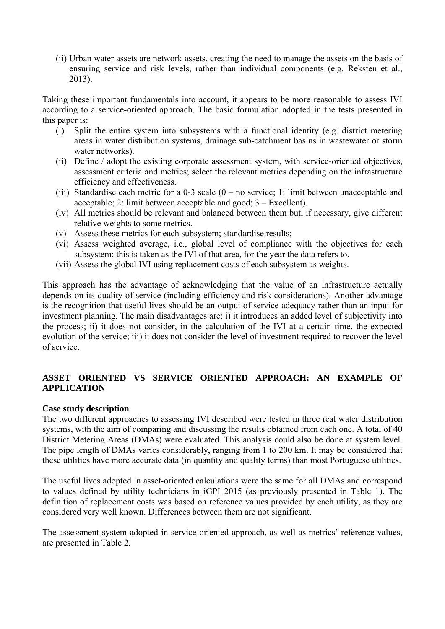(ii) Urban water assets are network assets, creating the need to manage the assets on the basis of ensuring service and risk levels, rather than individual components (e.g. Reksten et al., 2013).

Taking these important fundamentals into account, it appears to be more reasonable to assess IVI according to a service-oriented approach. The basic formulation adopted in the tests presented in this paper is:

- (i) Split the entire system into subsystems with a functional identity (e.g. district metering areas in water distribution systems, drainage sub-catchment basins in wastewater or storm water networks).
- (ii) Define / adopt the existing corporate assessment system, with service-oriented objectives, assessment criteria and metrics; select the relevant metrics depending on the infrastructure efficiency and effectiveness.
- (iii) Standardise each metric for a 0-3 scale (0 no service; 1: limit between unacceptable and acceptable; 2: limit between acceptable and good; 3 – Excellent).
- (iv) All metrics should be relevant and balanced between them but, if necessary, give different relative weights to some metrics.
- (v) Assess these metrics for each subsystem; standardise results;
- (vi) Assess weighted average, i.e., global level of compliance with the objectives for each subsystem; this is taken as the IVI of that area, for the year the data refers to.
- (vii) Assess the global IVI using replacement costs of each subsystem as weights.

This approach has the advantage of acknowledging that the value of an infrastructure actually depends on its quality of service (including efficiency and risk considerations). Another advantage is the recognition that useful lives should be an output of service adequacy rather than an input for investment planning. The main disadvantages are: i) it introduces an added level of subjectivity into the process; ii) it does not consider, in the calculation of the IVI at a certain time, the expected evolution of the service; iii) it does not consider the level of investment required to recover the level of service.

# **ASSET ORIENTED VS SERVICE ORIENTED APPROACH: AN EXAMPLE OF APPLICATION**

### **Case study description**

The two different approaches to assessing IVI described were tested in three real water distribution systems, with the aim of comparing and discussing the results obtained from each one. A total of 40 District Metering Areas (DMAs) were evaluated. This analysis could also be done at system level. The pipe length of DMAs varies considerably, ranging from 1 to 200 km. It may be considered that these utilities have more accurate data (in quantity and quality terms) than most Portuguese utilities.

The useful lives adopted in asset-oriented calculations were the same for all DMAs and correspond to values defined by utility technicians in iGPI 2015 (as previously presented in Table 1). The definition of replacement costs was based on reference values provided by each utility, as they are considered very well known. Differences between them are not significant.

The assessment system adopted in service-oriented approach, as well as metrics' reference values, are presented in Table 2.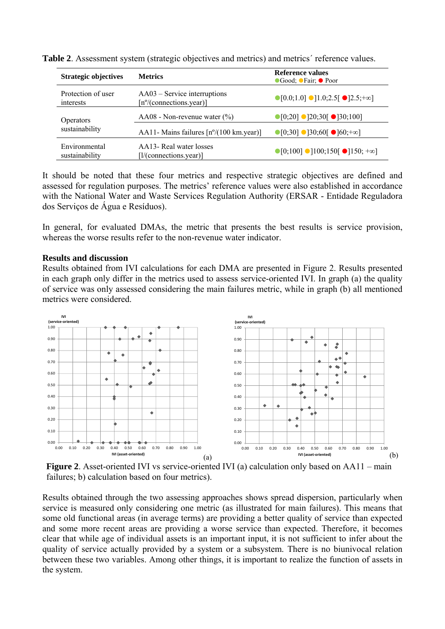| <b>Strategic objectives</b>        | <b>Metrics</b>                                                        | Reference values<br>●Good; ●Fair; ● Poor                              |  |
|------------------------------------|-----------------------------------------------------------------------|-----------------------------------------------------------------------|--|
| Protection of user<br>interests    | $AA03$ – Service interruptions<br>$[n^{\circ}/($ connections.year)]   | $\bigcirc [0.0;1.0] \bigcirc [1.0;2.5] \bigcirc [2.5;+\infty]$        |  |
| <b>Operators</b><br>sustainability | AA08 - Non-revenue water $(\% )$                                      | $\bigcirc$ [0;20] $\bigcirc$ [20;30[ $\bigcirc$ [30;100]              |  |
|                                    | AA11- Mains failures $\lceil n^{\circ}/(100 \text{ km. year}) \rceil$ | $\bigcirc$ [0;30] $\bigcirc$ ]30;60[ $\bigcirc$ ]60;+∞]               |  |
| Environmental<br>sustainability    | AA13- Real water losses<br>$[1/(\text{connections.} \text{year})]$    | $\bigcirc$ [0;100] $\bigcirc$ ]100;150[ $\bigcirc$ ]150; + $\infty$ ] |  |

**Table 2**. Assessment system (strategic objectives and metrics) and metrics´ reference values.

It should be noted that these four metrics and respective strategic objectives are defined and assessed for regulation purposes. The metrics' reference values were also established in accordance with the National Water and Waste Services Regulation Authority (ERSAR - Entidade Reguladora dos Serviços de Água e Resíduos).

In general, for evaluated DMAs, the metric that presents the best results is service provision, whereas the worse results refer to the non-revenue water indicator.

### **Results and discussion**

Results obtained from IVI calculations for each DMA are presented in Figure 2. Results presented in each graph only differ in the metrics used to assess service-oriented IVI. In graph (a) the quality of service was only assessed considering the main failures metric, while in graph (b) all mentioned metrics were considered.



**Figure 2**. Asset-oriented IVI vs service-oriented IVI (a) calculation only based on AA11 – main failures; b) calculation based on four metrics).

Results obtained through the two assessing approaches shows spread dispersion, particularly when service is measured only considering one metric (as illustrated for main failures). This means that some old functional areas (in average terms) are providing a better quality of service than expected and some more recent areas are providing a worse service than expected. Therefore, it becomes clear that while age of individual assets is an important input, it is not sufficient to infer about the quality of service actually provided by a system or a subsystem. There is no biunivocal relation between these two variables. Among other things, it is important to realize the function of assets in the system.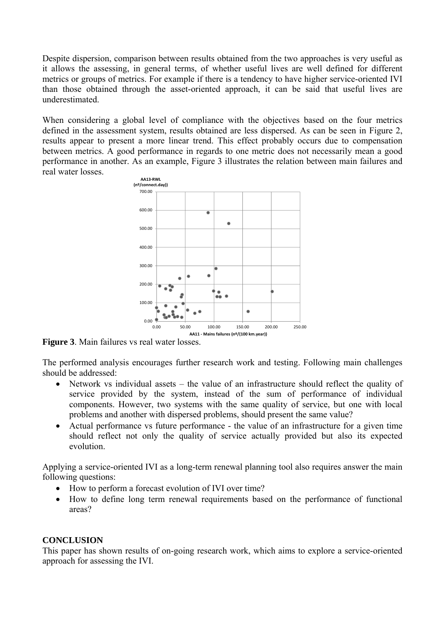Despite dispersion, comparison between results obtained from the two approaches is very useful as it allows the assessing, in general terms, of whether useful lives are well defined for different metrics or groups of metrics. For example if there is a tendency to have higher service-oriented IVI than those obtained through the asset-oriented approach, it can be said that useful lives are underestimated.

When considering a global level of compliance with the objectives based on the four metrics defined in the assessment system, results obtained are less dispersed. As can be seen in Figure 2, results appear to present a more linear trend. This effect probably occurs due to compensation between metrics. A good performance in regards to one metric does not necessarily mean a good performance in another. As an example, Figure 3 illustrates the relation between main failures and real water losses.



**Figure 3**. Main failures vs real water losses.

The performed analysis encourages further research work and testing. Following main challenges should be addressed:

- Network vs individual assets the value of an infrastructure should reflect the quality of service provided by the system, instead of the sum of performance of individual components. However, two systems with the same quality of service, but one with local problems and another with dispersed problems, should present the same value?
- Actual performance vs future performance the value of an infrastructure for a given time should reflect not only the quality of service actually provided but also its expected evolution.

Applying a service-oriented IVI as a long-term renewal planning tool also requires answer the main following questions:

- How to perform a forecast evolution of IVI over time?
- How to define long term renewal requirements based on the performance of functional areas?

## **CONCLUSION**

This paper has shown results of on-going research work, which aims to explore a service-oriented approach for assessing the IVI.